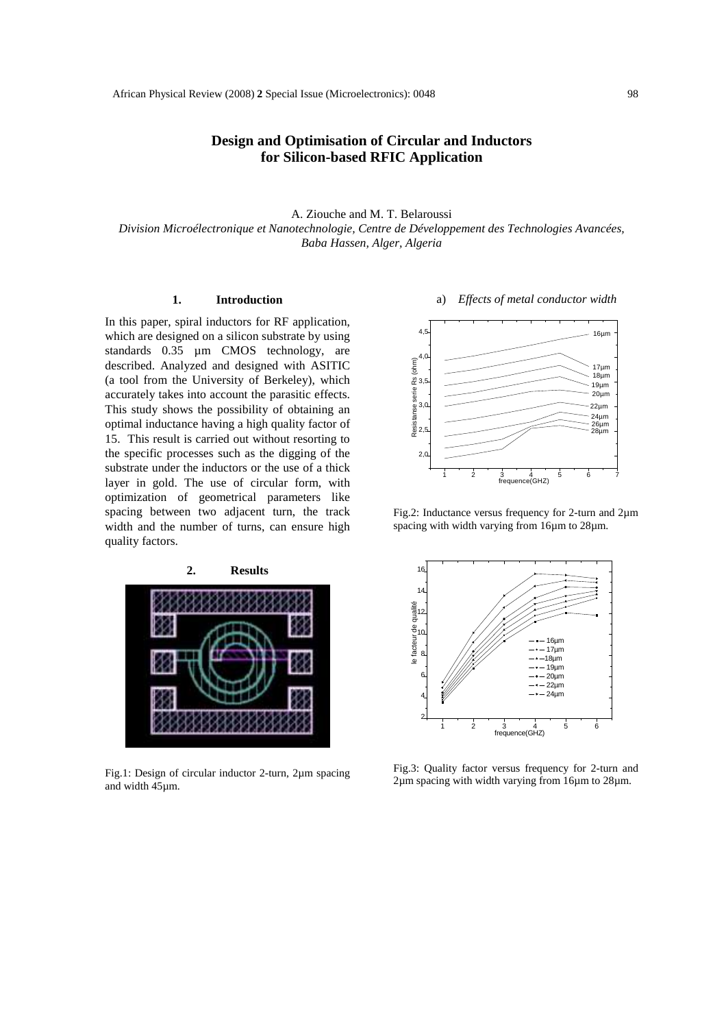## **Design and Optimisation of Circular and Inductors for Silicon-based RFIC Application**

A. Ziouche and M. T. Belaroussi *Division Microélectronique et Nanotechnologie, Centre de Développement des Technologies Avancées, Baba Hassen, Alger, Algeria* 

## **1. Introduction**

In this paper, spiral inductors for RF application, which are designed on a silicon substrate by using standards 0.35 µm CMOS technology, are described. Analyzed and designed with ASITIC (a tool from the University of Berkeley), which accurately takes into account the parasitic effects. This study shows the possibility of obtaining an optimal inductance having a high quality factor of 15. This result is carried out without resorting to the specific processes such as the digging of the substrate under the inductors or the use of a thick layer in gold. The use of circular form, with optimization of geometrical parameters like spacing between two adjacent turn, the track width and the number of turns, can ensure high quality factors.



Fig.1: Design of circular inductor 2-turn, 2µm spacing and width 45µm.

## a) *Effects of metal conductor width*



Fig.2: Inductance versus frequency for 2-turn and 2µm spacing with width varying from 16µm to 28µm.



Fig.3: Quality factor versus frequency for 2-turn and 2µm spacing with width varying from 16µm to 28µm.